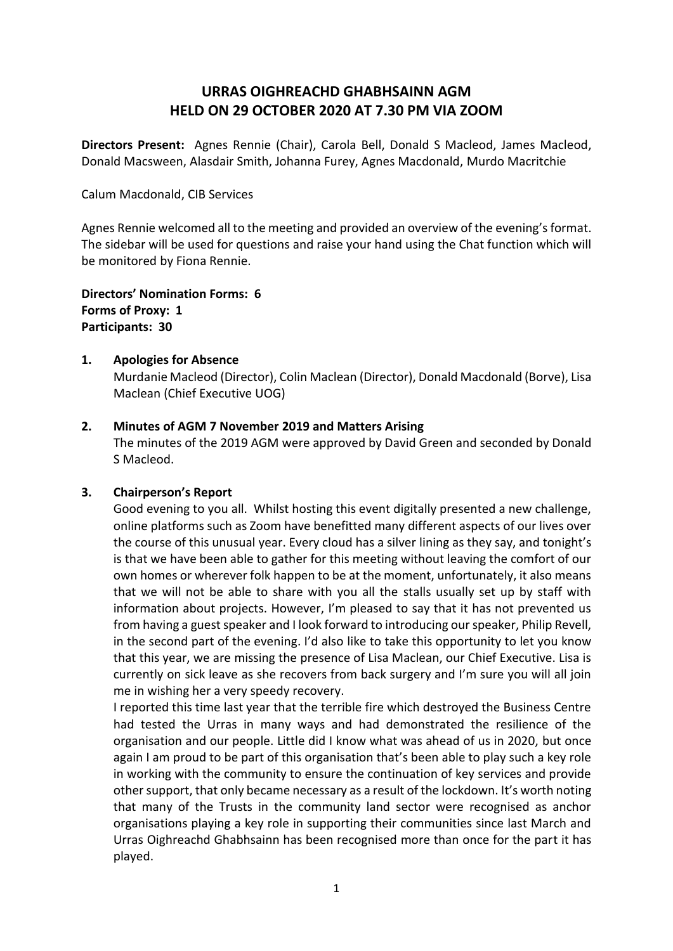# **URRAS OIGHREACHD GHABHSAINN AGM HELD ON 29 OCTOBER 2020 AT 7.30 PM VIA ZOOM**

**Directors Present:** Agnes Rennie (Chair), Carola Bell, Donald S Macleod, James Macleod, Donald Macsween, Alasdair Smith, Johanna Furey, Agnes Macdonald, Murdo Macritchie

Calum Macdonald, CIB Services

Agnes Rennie welcomed all to the meeting and provided an overview of the evening's format. The sidebar will be used for questions and raise your hand using the Chat function which will be monitored by Fiona Rennie.

**Directors' Nomination Forms: 6 Forms of Proxy: 1 Participants: 30**

### **1. Apologies for Absence**

Murdanie Macleod (Director), Colin Maclean (Director), Donald Macdonald (Borve), Lisa Maclean (Chief Executive UOG)

### **2. Minutes of AGM 7 November 2019 and Matters Arising**

The minutes of the 2019 AGM were approved by David Green and seconded by Donald S Macleod.

# **3. Chairperson's Report**

Good evening to you all. Whilst hosting this event digitally presented a new challenge, online platforms such as Zoom have benefitted many different aspects of our lives over the course of this unusual year. Every cloud has a silver lining as they say, and tonight's is that we have been able to gather for this meeting without leaving the comfort of our own homes or wherever folk happen to be at the moment, unfortunately, it also means that we will not be able to share with you all the stalls usually set up by staff with information about projects. However, I'm pleased to say that it has not prevented us from having a guest speaker and I look forward to introducing our speaker, Philip Revell, in the second part of the evening. I'd also like to take this opportunity to let you know that this year, we are missing the presence of Lisa Maclean, our Chief Executive. Lisa is currently on sick leave as she recovers from back surgery and I'm sure you will all join me in wishing her a very speedy recovery.

I reported this time last year that the terrible fire which destroyed the Business Centre had tested the Urras in many ways and had demonstrated the resilience of the organisation and our people. Little did I know what was ahead of us in 2020, but once again I am proud to be part of this organisation that's been able to play such a key role in working with the community to ensure the continuation of key services and provide other support, that only became necessary as a result of the lockdown. It's worth noting that many of the Trusts in the community land sector were recognised as anchor organisations playing a key role in supporting their communities since last March and Urras Oighreachd Ghabhsainn has been recognised more than once for the part it has played.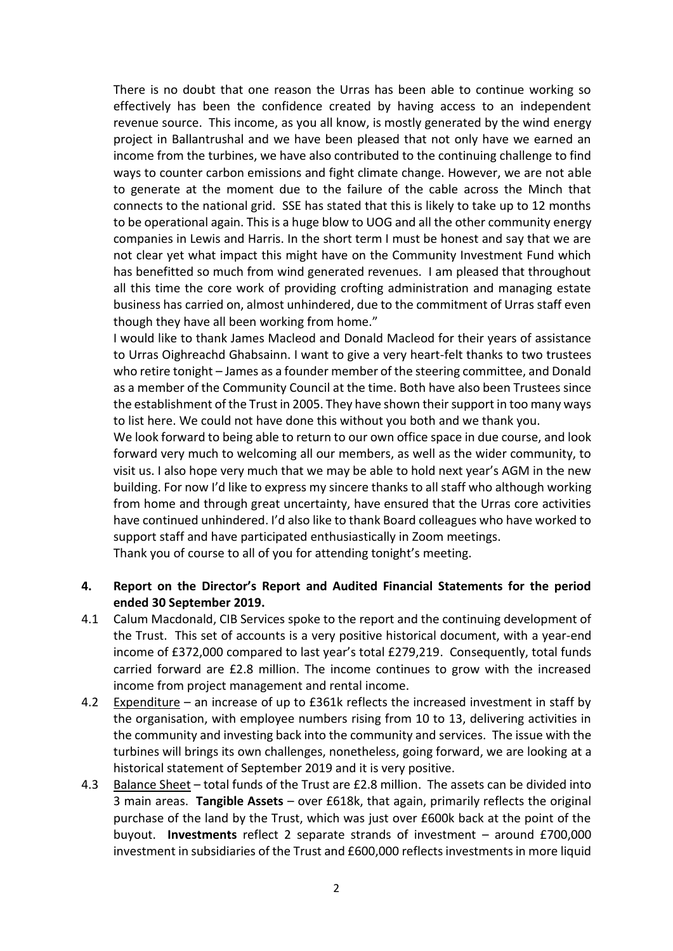There is no doubt that one reason the Urras has been able to continue working so effectively has been the confidence created by having access to an independent revenue source. This income, as you all know, is mostly generated by the wind energy project in Ballantrushal and we have been pleased that not only have we earned an income from the turbines, we have also contributed to the continuing challenge to find ways to counter carbon emissions and fight climate change. However, we are not able to generate at the moment due to the failure of the cable across the Minch that connects to the national grid. SSE has stated that this is likely to take up to 12 months to be operational again. This is a huge blow to UOG and all the other community energy companies in Lewis and Harris. In the short term I must be honest and say that we are not clear yet what impact this might have on the Community Investment Fund which has benefitted so much from wind generated revenues. I am pleased that throughout all this time the core work of providing crofting administration and managing estate business has carried on, almost unhindered, due to the commitment of Urras staff even though they have all been working from home."

I would like to thank James Macleod and Donald Macleod for their years of assistance to Urras Oighreachd Ghabsainn. I want to give a very heart-felt thanks to two trustees who retire tonight – James as a founder member of the steering committee, and Donald as a member of the Community Council at the time. Both have also been Trustees since the establishment of the Trust in 2005. They have shown their support in too many ways to list here. We could not have done this without you both and we thank you.

We look forward to being able to return to our own office space in due course, and look forward very much to welcoming all our members, as well as the wider community, to visit us. I also hope very much that we may be able to hold next year's AGM in the new building. For now I'd like to express my sincere thanks to all staff who although working from home and through great uncertainty, have ensured that the Urras core activities have continued unhindered. I'd also like to thank Board colleagues who have worked to support staff and have participated enthusiastically in Zoom meetings.

Thank you of course to all of you for attending tonight's meeting.

# **4. Report on the Director's Report and Audited Financial Statements for the period ended 30 September 2019.**

- 4.1 Calum Macdonald, CIB Services spoke to the report and the continuing development of the Trust. This set of accounts is a very positive historical document, with a year-end income of £372,000 compared to last year's total £279,219. Consequently, total funds carried forward are £2.8 million. The income continues to grow with the increased income from project management and rental income.
- 4.2 Expenditure an increase of up to £361k reflects the increased investment in staff by the organisation, with employee numbers rising from 10 to 13, delivering activities in the community and investing back into the community and services. The issue with the turbines will brings its own challenges, nonetheless, going forward, we are looking at a historical statement of September 2019 and it is very positive.
- 4.3 Balance Sheet total funds of the Trust are £2.8 million. The assets can be divided into 3 main areas. **Tangible Assets** – over £618k, that again, primarily reflects the original purchase of the land by the Trust, which was just over £600k back at the point of the buyout. **Investments** reflect 2 separate strands of investment – around £700,000 investment in subsidiaries of the Trust and £600,000 reflects investments in more liquid